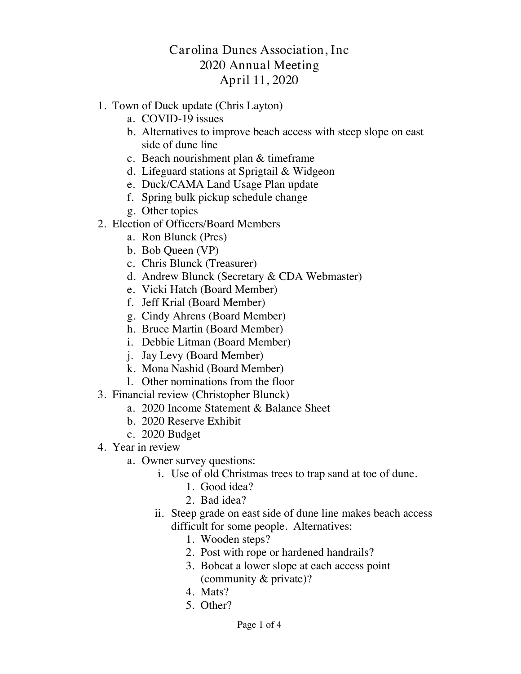# Carolina Dunes Association, Inc 2020 Annual Meeting April 11, 2020

- 1. Town of Duck update (Chris Layton)
	- a. COVID-19 issues
	- b. Alternatives to improve beach access with steep slope on east side of dune line
	- c. Beach nourishment plan & timeframe
	- d. Lifeguard stations at Sprigtail & Widgeon
	- e. Duck/CAMA Land Usage Plan update
	- f. Spring bulk pickup schedule change
	- g. Other topics
- 2. Election of Officers/Board Members
	- a. Ron Blunck (Pres)
	- b. Bob Queen (VP)
	- c. Chris Blunck (Treasurer)
	- d. Andrew Blunck (Secretary & CDA Webmaster)
	- e. Vicki Hatch (Board Member)
	- f. Jeff Krial (Board Member)
	- g. Cindy Ahrens (Board Member)
	- h. Bruce Martin (Board Member)
	- i. Debbie Litman (Board Member)
	- j. Jay Levy (Board Member)
	- k. Mona Nashid (Board Member)
	- l. Other nominations from the floor
- 3. Financial review (Christopher Blunck)
	- a. 2020 Income Statement & Balance Sheet
	- b. 2020 Reserve Exhibit
	- c. 2020 Budget
- 4. Year in review
	- a. Owner survey questions:
		- i. Use of old Christmas trees to trap sand at toe of dune.
			- 1. Good idea?
			- 2. Bad idea?
			- ii. Steep grade on east side of dune line makes beach access difficult for some people. Alternatives:
				- 1. Wooden steps?
				- 2. Post with rope or hardened handrails?
				- 3. Bobcat a lower slope at each access point (community & private)?
				- 4. Mats?
				- 5. Other?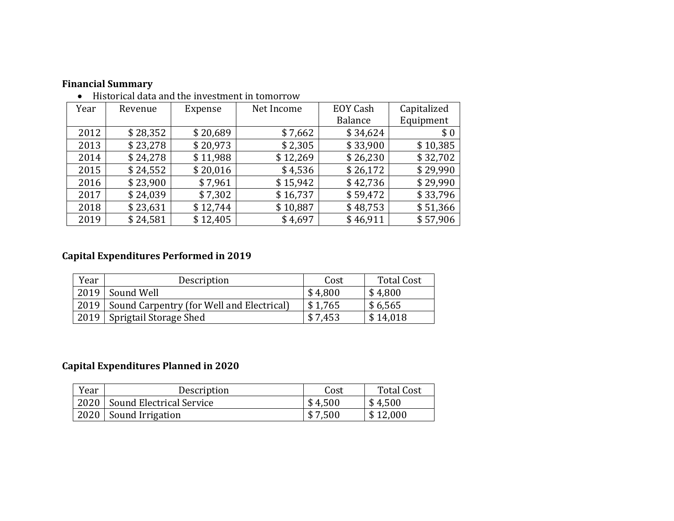| THUU TUUT UUU UHU UHU HIYUJUHUHU HI WHIVITOW |          |          |                        |                |             |  |  |  |  |  |
|----------------------------------------------|----------|----------|------------------------|----------------|-------------|--|--|--|--|--|
| Year                                         | Revenue  | Expense  | EOY Cash<br>Net Income |                | Capitalized |  |  |  |  |  |
|                                              |          |          |                        | <b>Balance</b> | Equipment   |  |  |  |  |  |
| 2012                                         | \$28,352 | \$20,689 | \$7,662                | \$34,624       | \$0         |  |  |  |  |  |
| 2013                                         | \$23,278 | \$20,973 | \$2,305                | \$33,900       | \$10,385    |  |  |  |  |  |
| 2014                                         | \$24,278 | \$11,988 | \$12,269               | \$26,230       | \$32,702    |  |  |  |  |  |
| 2015                                         | \$24,552 | \$20,016 | \$4,536                | \$26,172       | \$29,990    |  |  |  |  |  |
| 2016                                         | \$23,900 | \$7,961  | \$15,942               | \$42,736       | \$29,990    |  |  |  |  |  |
| 2017                                         | \$24,039 | \$7,302  | \$16,737               | \$59,472       | \$33,796    |  |  |  |  |  |
| 2018                                         | \$23,631 | \$12,744 | \$10,887               | \$48,753       | \$51,366    |  |  |  |  |  |
| 2019                                         | \$24,581 | \$12,405 | \$4,697                | \$46,911       | \$57,906    |  |  |  |  |  |

### **Financial Summary**  $\bullet$  Historical data and the investment in tomorrow

# **Capital Expenditures Performed in 2019**

| Year | Description                                      | Cost    | <b>Total Cost</b> |
|------|--------------------------------------------------|---------|-------------------|
|      | 2019 Sound Well                                  | \$4,800 | \$4,800           |
|      | 2019   Sound Carpentry (for Well and Electrical) | \$1,765 | \$6,565           |
|      | 2019   Sprigtail Storage Shed                    | \$7,453 | \$14,018          |

# **Capital Expenditures Planned in 2020**

| Year | Description                     | Cost    | Total Cost        |
|------|---------------------------------|---------|-------------------|
|      | 2020   Sound Electrical Service | \$4,500 | $\frac{$4,500}{}$ |
|      | 2020   Sound Irrigation         | \$7,500 | \$12,000          |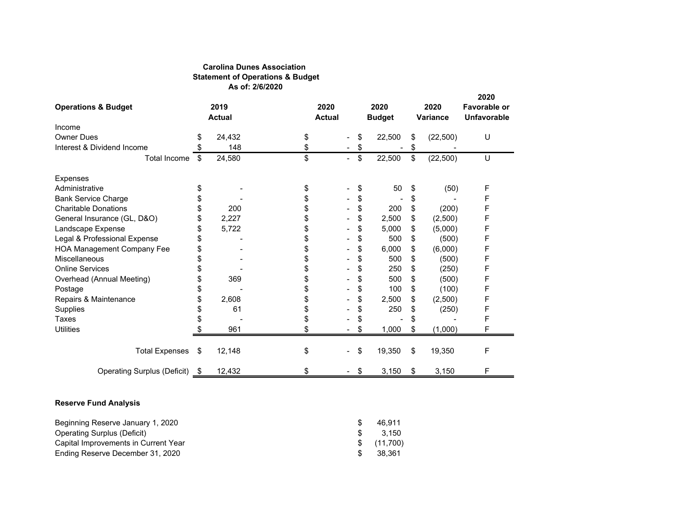#### **Carolina Dunes Association Statement of Operations & Budget As of: 2/6/2020**

| <b>Operations &amp; Budget</b>                                                                                                                                                      |    | 2019<br><b>Actual</b> | 2020<br><b>Actual</b> |                          |                         | 2020<br><b>Budget</b>                 | 2020<br>Variance | 2020<br>Favorable or<br><b>Unfavorable</b> |
|-------------------------------------------------------------------------------------------------------------------------------------------------------------------------------------|----|-----------------------|-----------------------|--------------------------|-------------------------|---------------------------------------|------------------|--------------------------------------------|
| Income                                                                                                                                                                              |    |                       |                       |                          |                         |                                       |                  |                                            |
| <b>Owner Dues</b>                                                                                                                                                                   | \$ | 24,432                | \$                    | $\blacksquare$           | \$                      | 22,500                                | \$<br>(22, 500)  | U                                          |
| Interest & Dividend Income                                                                                                                                                          | \$ | 148                   | \$                    | $\blacksquare$           | \$                      |                                       | \$               |                                            |
| <b>Total Income</b>                                                                                                                                                                 | \$ | 24,580                | \$                    | $\overline{\phantom{a}}$ | \$                      | 22,500                                | \$<br>(22, 500)  | U                                          |
| Expenses                                                                                                                                                                            |    |                       |                       |                          |                         |                                       |                  |                                            |
| Administrative                                                                                                                                                                      | \$ |                       | \$                    |                          | \$                      | 50                                    | \$<br>(50)       | F                                          |
| <b>Bank Service Charge</b>                                                                                                                                                          | \$ |                       | \$                    |                          | \$                      |                                       | \$               | F                                          |
| <b>Charitable Donations</b>                                                                                                                                                         | \$ | 200                   | \$                    |                          | \$                      | 200                                   | \$<br>(200)      | F                                          |
| General Insurance (GL, D&O)                                                                                                                                                         | \$ | 2,227                 | \$                    |                          | \$                      | 2,500                                 | \$<br>(2,500)    | F                                          |
| Landscape Expense                                                                                                                                                                   | \$ | 5,722                 | \$                    |                          | \$                      | 5,000                                 | \$<br>(5,000)    | F                                          |
| Legal & Professional Expense                                                                                                                                                        | \$ |                       | \$                    |                          | \$                      | 500                                   | \$<br>(500)      | F                                          |
| <b>HOA Management Company Fee</b>                                                                                                                                                   | \$ |                       | \$                    |                          | \$                      | 6,000                                 | \$<br>(6,000)    | F                                          |
| Miscellaneous                                                                                                                                                                       | \$ |                       | \$                    |                          | \$                      | 500                                   | \$<br>(500)      | F                                          |
| <b>Online Services</b>                                                                                                                                                              | \$ |                       | \$                    |                          | \$                      | 250                                   | \$<br>(250)      | F                                          |
| Overhead (Annual Meeting)                                                                                                                                                           | \$ | 369                   | \$                    |                          | \$                      | 500                                   | \$<br>(500)      | F                                          |
| Postage                                                                                                                                                                             | \$ |                       | \$                    |                          | \$                      | 100                                   | \$<br>(100)      | F                                          |
| Repairs & Maintenance                                                                                                                                                               | \$ | 2,608                 | \$                    |                          | \$                      | 2,500                                 | \$<br>(2,500)    | F                                          |
| Supplies                                                                                                                                                                            | \$ | 61                    | \$                    |                          | \$                      | 250                                   | \$<br>(250)      | F                                          |
| <b>Taxes</b>                                                                                                                                                                        | \$ |                       | \$                    |                          | \$                      |                                       | \$               | F                                          |
| <b>Utilities</b>                                                                                                                                                                    | \$ | 961                   | \$                    |                          | \$                      | 1,000                                 | \$<br>(1,000)    | F                                          |
| <b>Total Expenses</b>                                                                                                                                                               | \$ | 12,148                | \$                    |                          | \$                      | 19,350                                | \$<br>19,350     | F                                          |
| Operating Surplus (Deficit) \$                                                                                                                                                      |    | 12,432                | \$                    | $\overline{\phantom{a}}$ | $\sqrt[6]{\frac{1}{2}}$ | 3,150                                 | \$<br>3,150      | F                                          |
| <b>Reserve Fund Analysis</b><br>Beginning Reserve January 1, 2020<br><b>Operating Surplus (Deficit)</b><br>Capital Improvements in Current Year<br>Ending Reserve December 31, 2020 |    |                       |                       |                          | \$<br>\$<br>\$<br>\$    | 46,911<br>3,150<br>(11,700)<br>38,361 |                  |                                            |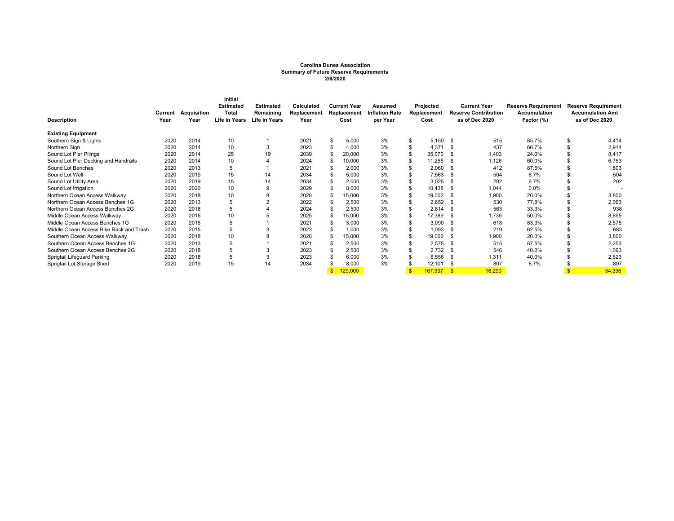#### **Carolina Dunes Association Summary of Future Reserve Requirements 2/6/2020**

| <b>Description</b>                      | Current<br>Year | Acquisition<br>Year | <b>Initial</b><br><b>Estimated</b><br>Total<br>Life in Years | <b>Estimated</b><br>Remaining<br><b>Life in Years</b> | Calculated<br>Replacement<br>Year | <b>Current Year</b><br>Replacement<br>Cost | Assumed<br><b>Inflation Rate</b><br>per Year | Projected<br>Replacement<br>Cost |     | <b>Current Year</b><br><b>Reserve Contribution</b><br>as of Dec 2020 | <b>Reserve Requirement</b><br>Accumulation<br>Factor (%) | <b>Reserve Requirement</b><br><b>Accumulation Amt</b><br>as of Dec 2020 |
|-----------------------------------------|-----------------|---------------------|--------------------------------------------------------------|-------------------------------------------------------|-----------------------------------|--------------------------------------------|----------------------------------------------|----------------------------------|-----|----------------------------------------------------------------------|----------------------------------------------------------|-------------------------------------------------------------------------|
| <b>Existing Equipment</b>               |                 |                     |                                                              |                                                       |                                   |                                            |                                              |                                  |     |                                                                      |                                                          |                                                                         |
| Southern Sign & Lights                  | 2020            | 2014                | 10                                                           |                                                       | 2021                              | 5,000                                      | 3%                                           | \$<br>5,150                      | -\$ | 515                                                                  | 85.7%                                                    | 4,414                                                                   |
| Northern Sign                           | 2020            | 2014                | 10                                                           | 3                                                     | 2023                              | 4,000                                      | 3%                                           | 4,371                            | -9  | 437                                                                  | 66.7%                                                    | 2,914                                                                   |
| Sound Lot Pier Pilings                  | 2020            | 2014                | 25                                                           | 19                                                    | 2039                              | 20,000                                     | 3%                                           | 35,070                           | -96 | 1,403                                                                | 24.0%                                                    | 8.417                                                                   |
| Sound Lot Pier Decking and Handrails    | 2020            | 2014                | 10                                                           |                                                       | 2024                              | 10,000                                     | 3%                                           | 11,255                           | -9  | 1,126                                                                | 60.0%                                                    | 6,753                                                                   |
| Sound Lot Benches                       | 2020            | 2013                |                                                              |                                                       | 2021                              | 2,000                                      | 3%                                           | 2,060                            | Æ   | 412                                                                  | 87.5%                                                    | 1,803                                                                   |
| Sound Lot Well                          | 2020            | 2019                | 15                                                           | 14                                                    | 2034                              | 5,000                                      | 3%                                           | 7,563                            | -96 | 504                                                                  | 6.7%                                                     | 504                                                                     |
| Sound Lot Utility Area                  | 2020            | 2019                | 15                                                           | 14                                                    | 2034                              | 2,000                                      | 3%                                           | 3,025                            | -S  | 202                                                                  | 6.7%                                                     | 202                                                                     |
| Sound Lot Irrigation                    | 2020            | 2020                | 10                                                           | -9                                                    | 2029                              | 8.000                                      | 3%                                           | 10,438                           |     | 1,044                                                                | 0.0%                                                     |                                                                         |
| Northern Ocean Access Walkway           | 2020            | 2018                | 10                                                           | 8                                                     | 2028                              | 15,000                                     | 3%                                           | 19,002                           |     | 1,900                                                                | 20.0%                                                    | 3,800                                                                   |
| Northern Ocean Access Benches 1G        | 2020            | 2013                | 5                                                            |                                                       | 2022                              | 2,500                                      | 3%                                           | 2,652                            | -96 | 530                                                                  | 77.8%                                                    | 2,063                                                                   |
| Northern Ocean Access Benches 2G        | 2020            | 2018                | 5                                                            |                                                       | 2024                              | 2,500                                      | 3%                                           | 2,814                            | -9  | 563                                                                  | 33.3%                                                    | 938                                                                     |
| Middle Ocean Access Walkway             | 2020            | 2015                | 10                                                           |                                                       | 2025                              | 15,000                                     | 3%                                           | 17,389                           | -S  | ,739                                                                 | 50.0%                                                    | 8,695                                                                   |
| Middle Ocean Access Benches 1G          | 2020            | 2015                |                                                              |                                                       | 2021                              | 3,000                                      | 3%                                           | 3,090                            | -96 | 618                                                                  | 83.3%                                                    | 2,575                                                                   |
| Middle Ocean Access Bike Rack and Trash | 2020            | 2015                |                                                              |                                                       | 2023                              | 1.000                                      | 3%                                           | 1,093                            |     | 219                                                                  | 62.5%                                                    | 683                                                                     |
| Southern Ocean Access Walkway           | 2020            | 2018                | 10                                                           |                                                       | 2028                              | 15,000                                     | 3%                                           | 19,002                           |     | 1,900                                                                | 20.0%                                                    | 3,800                                                                   |
| Southern Ocean Access Benches 1G        | 2020            | 2013                |                                                              |                                                       | 2021                              | 2,500                                      | 3%                                           | 2,575                            | -9  | 515                                                                  | 87.5%                                                    | 2,253                                                                   |
| Southern Ocean Access Benches 2G        | 2020            | 2018                |                                                              |                                                       | 2023                              | 2,500                                      | 3%                                           | 2,732                            | -96 | 546                                                                  | 40.0%                                                    | 1,093                                                                   |
| Sprigtail Lifeguard Parking             | 2020            | 2018                | 5                                                            | 3                                                     | 2023                              | 6.000                                      | 3%                                           | 6,556                            | -9  | 1,311                                                                | 40.0%                                                    | 2,623                                                                   |
| Sprigtail Lot Storage Shed              | 2020            | 2019                | 15                                                           | 14                                                    | 2034                              | 8,000                                      | 3%                                           | 12,101                           |     | 807                                                                  | 6.7%                                                     | 807                                                                     |
|                                         |                 |                     |                                                              |                                                       |                                   | 129,000                                    |                                              | 167,937                          | -9  | 16.290                                                               |                                                          | 54,336                                                                  |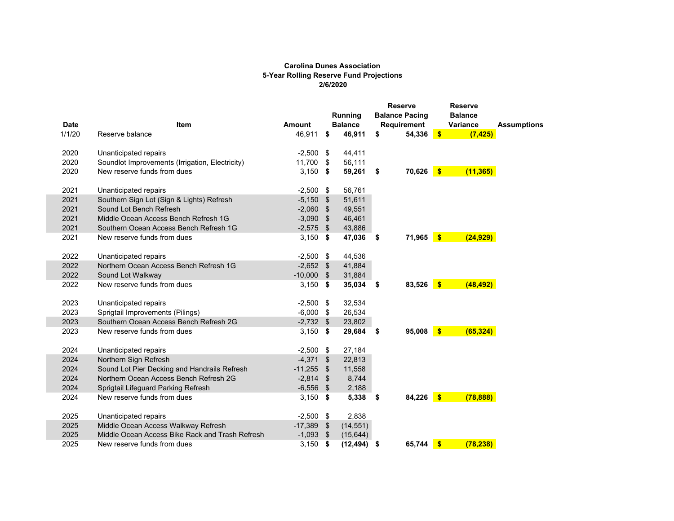#### **Carolina Dunes Association 5-Year Rolling Reserve Fund Projections 2/6/2020**

| <b>Date</b> | Item                                            | <b>Amount</b> |      | <b>Running</b><br><b>Balance</b> |      | <b>Reserve</b><br><b>Balance Pacing</b><br><b>Requirement</b> |              | <b>Reserve</b><br><b>Balance</b><br>Variance | <b>Assumptions</b> |
|-------------|-------------------------------------------------|---------------|------|----------------------------------|------|---------------------------------------------------------------|--------------|----------------------------------------------|--------------------|
| 1/1/20      | Reserve balance                                 | 46,911        | \$   | 46,911                           | \$   | 54,336                                                        | $\sqrt{5}$   | (7, 425)                                     |                    |
| 2020        | Unanticipated repairs                           | $-2,500$ \$   |      | 44,411                           |      |                                                               |              |                                              |                    |
| 2020        | Soundlot Improvements (Irrigation, Electricity) | 11,700 \$     |      | 56,111                           |      |                                                               |              |                                              |                    |
| 2020        | New reserve funds from dues                     | $3,150$ \$    |      | 59,261                           | - \$ | 70,626                                                        | $\sqrt{5}$   | (11, 365)                                    |                    |
| 2021        | Unanticipated repairs                           | $-2,500$ \$   |      | 56,761                           |      |                                                               |              |                                              |                    |
| 2021        | Southern Sign Lot (Sign & Lights) Refresh       | $-5,150$ \$   |      | 51,611                           |      |                                                               |              |                                              |                    |
| 2021        | Sound Lot Bench Refresh                         | $-2,060$ \$   |      | 49,551                           |      |                                                               |              |                                              |                    |
| 2021        | Middle Ocean Access Bench Refresh 1G            | $-3,090$ \$   |      | 46,461                           |      |                                                               |              |                                              |                    |
| 2021        | Southern Ocean Access Bench Refresh 1G          | $-2,575$ \$   |      | 43,886                           |      |                                                               |              |                                              |                    |
| 2021        | New reserve funds from dues                     | $3,150$ \$    |      | 47,036                           | - \$ | 71,965                                                        | $\sqrt{5}$   | (24, 929)                                    |                    |
| 2022        | Unanticipated repairs                           | $-2,500$ \$   |      | 44,536                           |      |                                                               |              |                                              |                    |
| 2022        | Northern Ocean Access Bench Refresh 1G          | $-2,652$ \$   |      | 41,884                           |      |                                                               |              |                                              |                    |
| 2022        | Sound Lot Walkway                               | $-10,000$ \$  |      | 31,884                           |      |                                                               |              |                                              |                    |
| 2022        | New reserve funds from dues                     | $3,150$ \$    |      | 35,034                           | - \$ | 83,526                                                        | $\sqrt{3}$   | (48, 492)                                    |                    |
| 2023        | Unanticipated repairs                           | $-2,500$ \$   |      | 32,534                           |      |                                                               |              |                                              |                    |
| 2023        | Sprigtail Improvements (Pilings)                | $-6,000$ \$   |      | 26,534                           |      |                                                               |              |                                              |                    |
| 2023        | Southern Ocean Access Bench Refresh 2G          | $-2,732$ \$   |      | 23,802                           |      |                                                               |              |                                              |                    |
| 2023        | New reserve funds from dues                     | $3,150$ \$    |      | 29,684                           | - \$ | 95,008                                                        | $\sqrt{5}$   | (65, 324)                                    |                    |
| 2024        | Unanticipated repairs                           | $-2,500$ \$   |      | 27,184                           |      |                                                               |              |                                              |                    |
| 2024        | Northern Sign Refresh                           | $-4,371$ \$   |      | 22,813                           |      |                                                               |              |                                              |                    |
| 2024        | Sound Lot Pier Decking and Handrails Refresh    | $-11,255$     | - \$ | 11,558                           |      |                                                               |              |                                              |                    |
| 2024        | Northern Ocean Access Bench Refresh 2G          | $-2,814$ \$   |      | 8,744                            |      |                                                               |              |                                              |                    |
| 2024        | Sprigtail Lifeguard Parking Refresh             | $-6,556$ \$   |      | 2,188                            |      |                                                               |              |                                              |                    |
| 2024        | New reserve funds from dues                     | $3,150$ \$    |      | 5,338                            | - \$ | 84,226                                                        | $\sqrt{5}$   | (78, 888)                                    |                    |
| 2025        | Unanticipated repairs                           | $-2,500$ \$   |      | 2,838                            |      |                                                               |              |                                              |                    |
| 2025        | Middle Ocean Access Walkway Refresh             | $-17,389$     | - \$ | (14, 551)                        |      |                                                               |              |                                              |                    |
| 2025        | Middle Ocean Access Bike Rack and Trash Refresh | $-1,093$ \$   |      | (15, 644)                        |      |                                                               |              |                                              |                    |
| 2025        | New reserve funds from dues                     | 3,150         | \$   | $(12, 494)$ \$                   |      | 65.744                                                        | $\mathbf{s}$ | (78, 238)                                    |                    |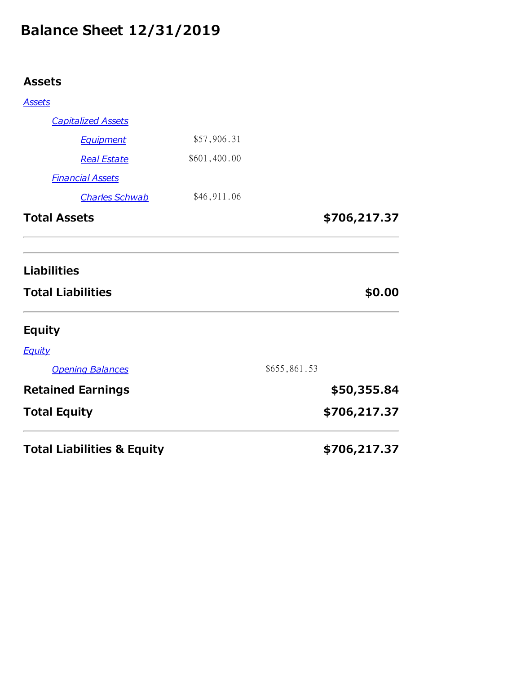# **Balance Sheet 12/31/2019**

# **Assets**

| <b>Total Liabilities &amp; Equity</b>          |              | \$706,217.37 |
|------------------------------------------------|--------------|--------------|
| <b>Total Equity</b>                            |              | \$706,217.37 |
| <b>Retained Earnings</b>                       |              | \$50,355.84  |
| <b>Opening Balances</b>                        |              | \$655,861.53 |
| <b>Equity</b>                                  |              |              |
| <b>Equity</b>                                  |              |              |
| <b>Liabilities</b><br><b>Total Liabilities</b> |              | \$0.00       |
|                                                |              | \$706,217.37 |
| <b>Charles Schwab</b><br><b>Total Assets</b>   | \$46,911.06  |              |
| <b>Financial Assets</b>                        |              |              |
| <b>Real Estate</b>                             | \$601,400.00 |              |
| <b>Equipment</b>                               | \$57,906.31  |              |
| <b>Capitalized Assets</b>                      |              |              |
| <b>Assets</b>                                  |              |              |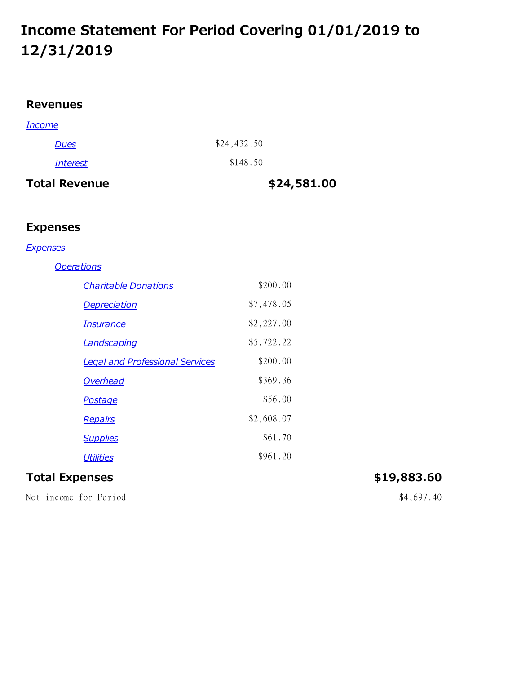# **Income Statement For Period Covering 01/01/2019 to 12/31/2019**

## **Revenues**

| <b>Total Revenue</b> | \$24,581.00 |
|----------------------|-------------|
| <b>Interest</b>      | \$148.50    |
| Dues                 | \$24,432.50 |
| <b>Income</b>        |             |

# **Expenses**

### *Expenses*

### *Operations*

| <b>Charitable Donations</b>            | \$200.00   |
|----------------------------------------|------------|
| <b>Depreciation</b>                    | \$7,478.05 |
| <b>Insurance</b>                       | \$2,227.00 |
| <b>Landscaping</b>                     | \$5,722.22 |
| <b>Legal and Professional Services</b> | \$200.00   |
| Overhead                               | \$369.36   |
| <b>Postage</b>                         | \$56.00    |
| <b>Repairs</b>                         | \$2,608.07 |
| <b>Supplies</b>                        | \$61.70    |
| <b>Utilities</b>                       | \$961.20   |

### **Total Expenses \$19,883.60**

Net income for Period  $$4,697.40$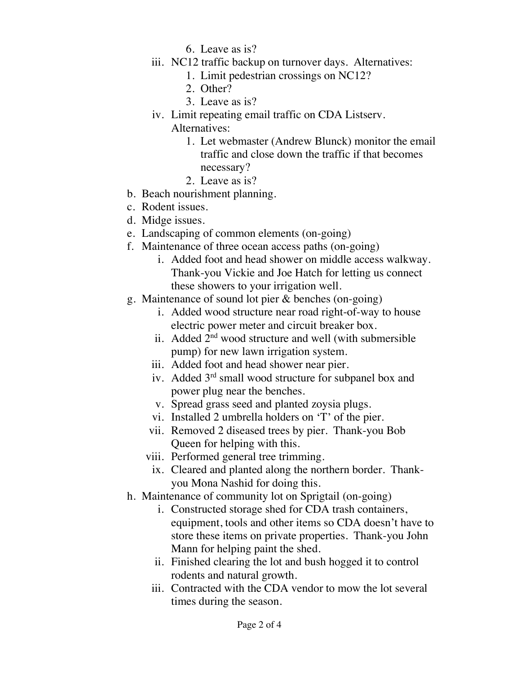- 6. Leave as is?
- iii. NC12 traffic backup on turnover days. Alternatives:
	- 1. Limit pedestrian crossings on NC12?
	- 2. Other?
	- 3. Leave as is?
- iv. Limit repeating email traffic on CDA Listserv. Alternatives:
	- 1. Let webmaster (Andrew Blunck) monitor the email traffic and close down the traffic if that becomes necessary?
	- 2. Leave as is?
- b. Beach nourishment planning.
- c. Rodent issues.
- d. Midge issues.
- e. Landscaping of common elements (on-going)
- f. Maintenance of three ocean access paths (on-going)
	- i. Added foot and head shower on middle access walkway. Thank-you Vickie and Joe Hatch for letting us connect these showers to your irrigation well.
- g. Maintenance of sound lot pier & benches (on-going)
	- i. Added wood structure near road right-of-way to house electric power meter and circuit breaker box.
	- ii. Added  $2<sup>nd</sup>$  wood structure and well (with submersible pump) for new lawn irrigation system.
	- iii. Added foot and head shower near pier.
	- iv. Added 3<sup>rd</sup> small wood structure for subpanel box and power plug near the benches.
	- v. Spread grass seed and planted zoysia plugs.
	- vi. Installed 2 umbrella holders on 'T' of the pier.
	- vii. Removed 2 diseased trees by pier. Thank-you Bob Queen for helping with this.
	- viii. Performed general tree trimming.
	- ix. Cleared and planted along the northern border. Thankyou Mona Nashid for doing this.
- h. Maintenance of community lot on Sprigtail (on-going)
	- i. Constructed storage shed for CDA trash containers, equipment, tools and other items so CDA doesn't have to store these items on private properties. Thank-you John Mann for helping paint the shed.
	- ii. Finished clearing the lot and bush hogged it to control rodents and natural growth.
	- iii. Contracted with the CDA vendor to mow the lot several times during the season.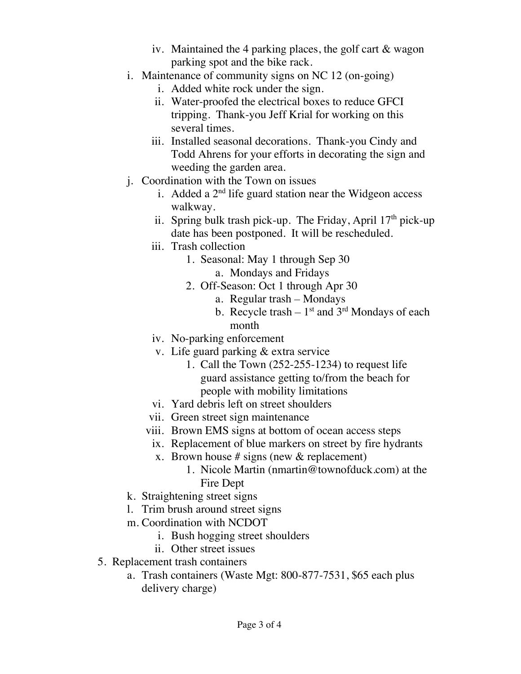- iv. Maintained the 4 parking places, the golf cart & wagon parking spot and the bike rack.
- i. Maintenance of community signs on NC 12 (on-going)
	- i. Added white rock under the sign.
	- ii. Water-proofed the electrical boxes to reduce GFCI tripping. Thank-you Jeff Krial for working on this several times.
	- iii. Installed seasonal decorations. Thank-you Cindy and Todd Ahrens for your efforts in decorating the sign and weeding the garden area.
- j. Coordination with the Town on issues
	- i. Added a  $2<sup>nd</sup>$  life guard station near the Widgeon access walkway.
	- ii. Spring bulk trash pick-up. The Friday, April  $17<sup>th</sup>$  pick-up date has been postponed. It will be rescheduled.
	- iii. Trash collection
		- 1. Seasonal: May 1 through Sep 30
			- a. Mondays and Fridays
		- 2. Off-Season: Oct 1 through Apr 30
			- a. Regular trash Mondays
			- b. Recycle trash  $1<sup>st</sup>$  and  $3<sup>rd</sup>$  Mondays of each month
	- iv. No-parking enforcement
	- v. Life guard parking & extra service
		- 1. Call the Town (252-255-1234) to request life guard assistance getting to/from the beach for people with mobility limitations
	- vi. Yard debris left on street shoulders
	- vii. Green street sign maintenance
	- viii. Brown EMS signs at bottom of ocean access steps
		- ix. Replacement of blue markers on street by fire hydrants
		- x. Brown house # signs (new  $&$  replacement)
			- 1. Nicole Martin (nmartin@townofduck.com) at the Fire Dept
- k. Straightening street signs
- l. Trim brush around street signs
- m. Coordination with NCDOT
	- i. Bush hogging street shoulders
	- ii. Other street issues
- 5. Replacement trash containers
	- a. Trash containers (Waste Mgt: 800-877-7531, \$65 each plus delivery charge)